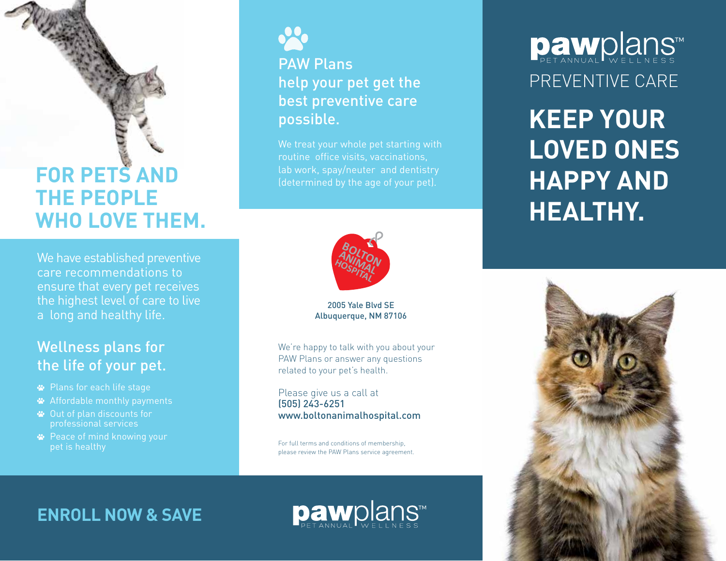## **FOR PETS AND THE PEOPLE WHO LOVE THEM.**

We have established preventive care recommendations to ensure that every pet receives the highest level of care to live a long and healthy life.

#### Wellness plans for the life of your pet.

- Plans for each life stage
- Affordable monthly payments
- Out of plan discounts for professional services
- **<sup>■</sup>** Peace of mind knowing your pet is healthy



#### PAW Plans help your pet get the best preventive care possible.

We treat your whole pet starting with routine office visits, vaccinations,



#### 2005 Yale Blvd SE Albuquerque, NM 87106

We're happy to talk with you about your PAW Plans or answer any questions related to your pet's health.

Please give us a call at (505) 243-6251 www.boltonanimalhospital.com

For full terms and conditions of membership, please review the PAW Plans service agreement.

## PREVENTIVE CARE Dawplans

**KEEP YOUR LOVED ONES HAPPY AND HEALTHY.**



#### **ENROLL NOW & SAVE**